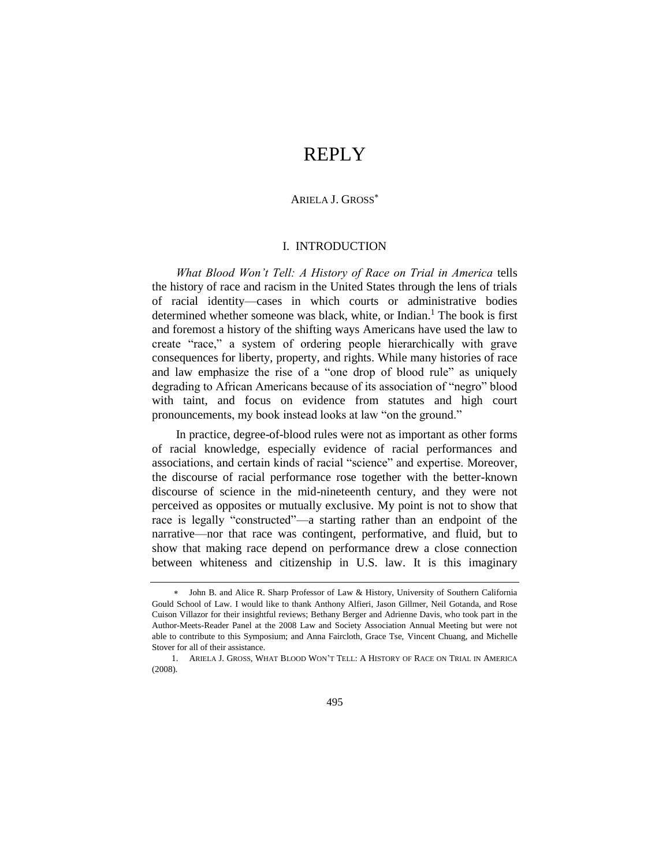# REPLY

### ARIELA J. GROSS

## <span id="page-0-0"></span>I. INTRODUCTION

*What Blood Won't Tell: A History of Race on Trial in America* tells the history of race and racism in the United States through the lens of trials of racial identity—cases in which courts or administrative bodies determined whether someone was black, white, or Indian.<sup>1</sup> The book is first and foremost a history of the shifting ways Americans have used the law to create "race," a system of ordering people hierarchically with grave consequences for liberty, property, and rights. While many histories of race and law emphasize the rise of a "one drop of blood rule" as uniquely degrading to African Americans because of its association of "negro" blood with taint, and focus on evidence from statutes and high court pronouncements, my book instead looks at law "on the ground."

In practice, degree-of-blood rules were not as important as other forms of racial knowledge, especially evidence of racial performances and associations, and certain kinds of racial "science" and expertise. Moreover, the discourse of racial performance rose together with the better-known discourse of science in the mid-nineteenth century, and they were not perceived as opposites or mutually exclusive. My point is not to show that race is legally "constructed"—a starting rather than an endpoint of the narrative—nor that race was contingent, performative, and fluid, but to show that making race depend on performance drew a close connection between whiteness and citizenship in U.S. law. It is this imaginary

John B. and Alice R. Sharp Professor of Law & History, University of Southern California Gould School of Law. I would like to thank Anthony Alfieri, Jason Gillmer, Neil Gotanda, and Rose Cuison Villazor for their insightful reviews; Bethany Berger and Adrienne Davis, who took part in the Author-Meets-Reader Panel at the 2008 Law and Society Association Annual Meeting but were not able to contribute to this Symposium; and Anna Faircloth, Grace Tse, Vincent Chuang, and Michelle Stover for all of their assistance.

<sup>1.</sup> ARIELA J. GROSS, WHAT BLOOD WON'T TELL: A HISTORY OF RACE ON TRIAL IN AMERICA (2008).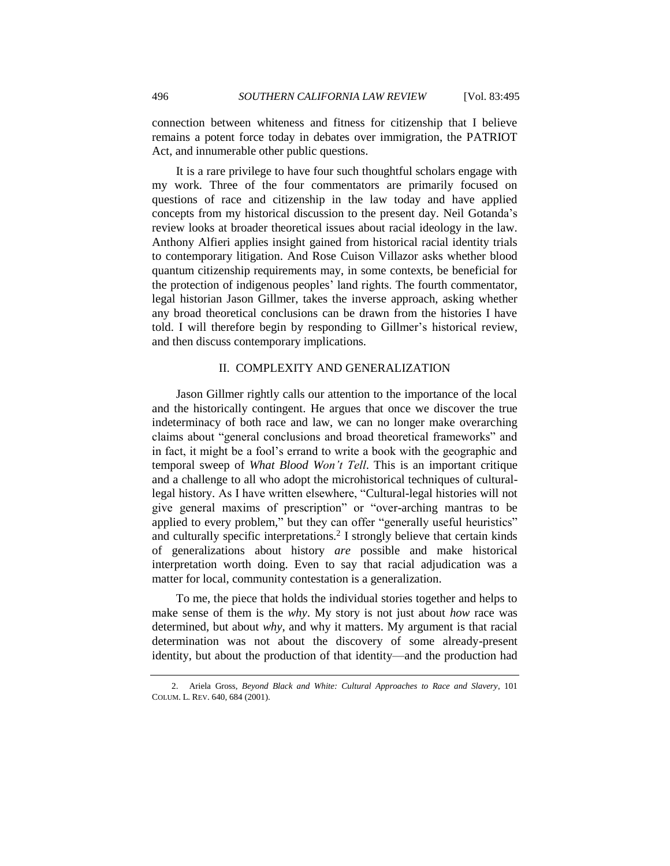connection between whiteness and fitness for citizenship that I believe remains a potent force today in debates over immigration, the PATRIOT Act, and innumerable other public questions.

It is a rare privilege to have four such thoughtful scholars engage with my work. Three of the four commentators are primarily focused on questions of race and citizenship in the law today and have applied concepts from my historical discussion to the present day. Neil Gotanda's review looks at broader theoretical issues about racial ideology in the law. Anthony Alfieri applies insight gained from historical racial identity trials to contemporary litigation. And Rose Cuison Villazor asks whether blood quantum citizenship requirements may, in some contexts, be beneficial for the protection of indigenous peoples' land rights. The fourth commentator, legal historian Jason Gillmer, takes the inverse approach, asking whether any broad theoretical conclusions can be drawn from the histories I have told. I will therefore begin by responding to Gillmer's historical review, and then discuss contemporary implications.

## II. COMPLEXITY AND GENERALIZATION

Jason Gillmer rightly calls our attention to the importance of the local and the historically contingent. He argues that once we discover the true indeterminacy of both race and law, we can no longer make overarching claims about "general conclusions and broad theoretical frameworks" and in fact, it might be a fool's errand to write a book with the geographic and temporal sweep of *What Blood Won't Tell*. This is an important critique and a challenge to all who adopt the microhistorical techniques of culturallegal history. As I have written elsewhere, "Cultural-legal histories will not give general maxims of prescription" or "over-arching mantras to be applied to every problem," but they can offer "generally useful heuristics" and culturally specific interpretations.<sup>2</sup> I strongly believe that certain kinds of generalizations about history *are* possible and make historical interpretation worth doing. Even to say that racial adjudication was a matter for local, community contestation is a generalization.

To me, the piece that holds the individual stories together and helps to make sense of them is the *why*. My story is not just about *how* race was determined, but about *why*, and why it matters. My argument is that racial determination was not about the discovery of some already-present identity, but about the production of that identity—and the production had

<sup>2.</sup> Ariela Gross, *Beyond Black and White: Cultural Approaches to Race and Slavery*, 101 COLUM. L. REV. 640, 684 (2001).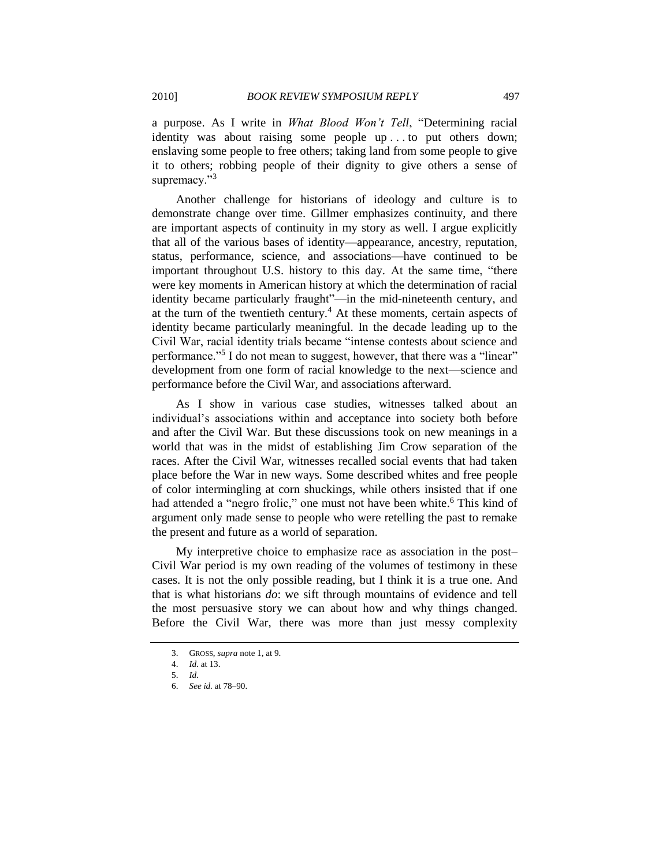a purpose. As I write in *What Blood Won't Tell*, "Determining racial identity was about raising some people up . . . to put others down; enslaving some people to free others; taking land from some people to give it to others; robbing people of their dignity to give others a sense of supremacy."<sup>3</sup>

Another challenge for historians of ideology and culture is to demonstrate change over time. Gillmer emphasizes continuity, and there are important aspects of continuity in my story as well. I argue explicitly that all of the various bases of identity—appearance, ancestry, reputation, status, performance, science, and associations—have continued to be important throughout U.S. history to this day. At the same time, "there were key moments in American history at which the determination of racial identity became particularly fraught"—in the mid-nineteenth century, and at the turn of the twentieth century.<sup>4</sup> At these moments, certain aspects of identity became particularly meaningful. In the decade leading up to the Civil War, racial identity trials became "intense contests about science and performance."<sup>5</sup> I do not mean to suggest, however, that there was a "linear" development from one form of racial knowledge to the next—science and performance before the Civil War, and associations afterward.

As I show in various case studies, witnesses talked about an individual's associations within and acceptance into society both before and after the Civil War. But these discussions took on new meanings in a world that was in the midst of establishing Jim Crow separation of the races. After the Civil War, witnesses recalled social events that had taken place before the War in new ways. Some described whites and free people of color intermingling at corn shuckings, while others insisted that if one had attended a "negro frolic," one must not have been white.<sup>6</sup> This kind of argument only made sense to people who were retelling the past to remake the present and future as a world of separation.

My interpretive choice to emphasize race as association in the post– Civil War period is my own reading of the volumes of testimony in these cases. It is not the only possible reading, but I think it is a true one. And that is what historians *do*: we sift through mountains of evidence and tell the most persuasive story we can about how and why things changed. Before the Civil War, there was more than just messy complexity

<sup>3.</sup> GROSS, *supra* not[e 1,](#page-0-0) at 9.

<sup>4.</sup> *Id.* at 13.

<sup>5.</sup> *Id.*

<sup>6.</sup> *See id.* at 78–90.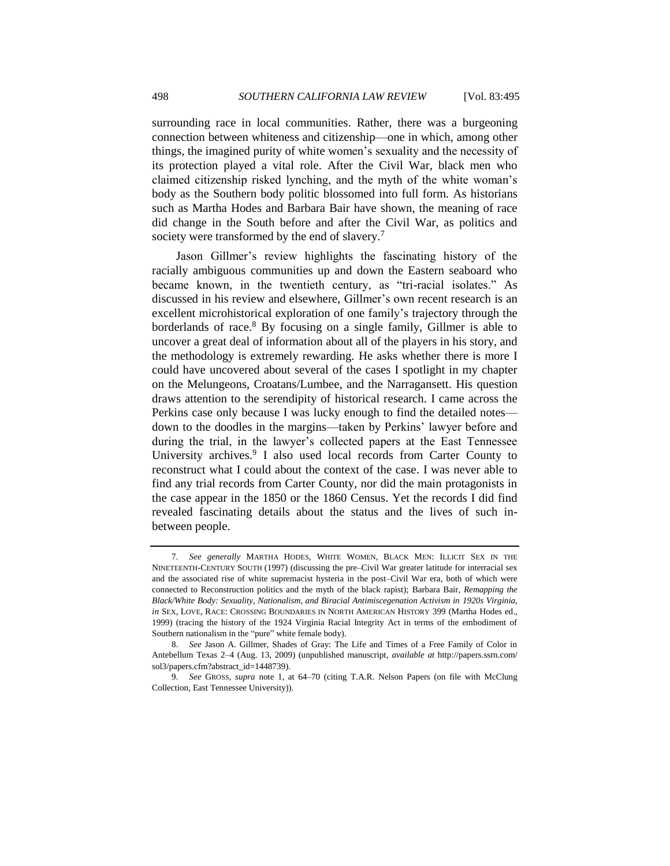surrounding race in local communities. Rather, there was a burgeoning connection between whiteness and citizenship—one in which, among other things, the imagined purity of white women's sexuality and the necessity of its protection played a vital role. After the Civil War, black men who claimed citizenship risked lynching, and the myth of the white woman's body as the Southern body politic blossomed into full form. As historians such as Martha Hodes and Barbara Bair have shown, the meaning of race did change in the South before and after the Civil War, as politics and society were transformed by the end of slavery.<sup>7</sup>

<span id="page-3-0"></span>Jason Gillmer's review highlights the fascinating history of the racially ambiguous communities up and down the Eastern seaboard who became known, in the twentieth century, as "tri-racial isolates." As discussed in his review and elsewhere, Gillmer's own recent research is an excellent microhistorical exploration of one family's trajectory through the borderlands of race.<sup>8</sup> By focusing on a single family, Gillmer is able to uncover a great deal of information about all of the players in his story, and the methodology is extremely rewarding. He asks whether there is more I could have uncovered about several of the cases I spotlight in my chapter on the Melungeons, Croatans/Lumbee, and the Narragansett. His question draws attention to the serendipity of historical research. I came across the Perkins case only because I was lucky enough to find the detailed notes down to the doodles in the margins—taken by Perkins' lawyer before and during the trial, in the lawyer's collected papers at the East Tennessee University archives.<sup>9</sup> I also used local records from Carter County to reconstruct what I could about the context of the case. I was never able to find any trial records from Carter County, nor did the main protagonists in the case appear in the 1850 or the 1860 Census. Yet the records I did find revealed fascinating details about the status and the lives of such inbetween people.

<sup>7.</sup> *See generally* MARTHA HODES, WHITE WOMEN, BLACK MEN: ILLICIT SEX IN THE NINETEENTH-CENTURY SOUTH (1997) (discussing the pre–Civil War greater latitude for interracial sex and the associated rise of white supremacist hysteria in the post–Civil War era, both of which were connected to Reconstruction politics and the myth of the black rapist); Barbara Bair, *Remapping the Black/White Body: Sexuality, Nationalism, and Biracial Antimiscegenation Activism in 1920s Virginia*, *in* SEX, LOVE, RACE: CROSSING BOUNDARIES IN NORTH AMERICAN HISTORY 399 (Martha Hodes ed., 1999) (tracing the history of the 1924 Virginia Racial Integrity Act in terms of the embodiment of Southern nationalism in the "pure" white female body).

<sup>8.</sup> *See* Jason A. Gillmer, Shades of Gray: The Life and Times of a Free Family of Color in Antebellum Texas 2–4 (Aug. 13, 2009) (unpublished manuscript, *available at* http://papers.ssrn.com/ sol3/papers.cfm?abstract\_id=1448739).

<sup>9.</sup> *See* GROSS, *supra* note [1,](#page-0-0) at 64–70 (citing T.A.R. Nelson Papers (on file with McClung Collection, East Tennessee University)).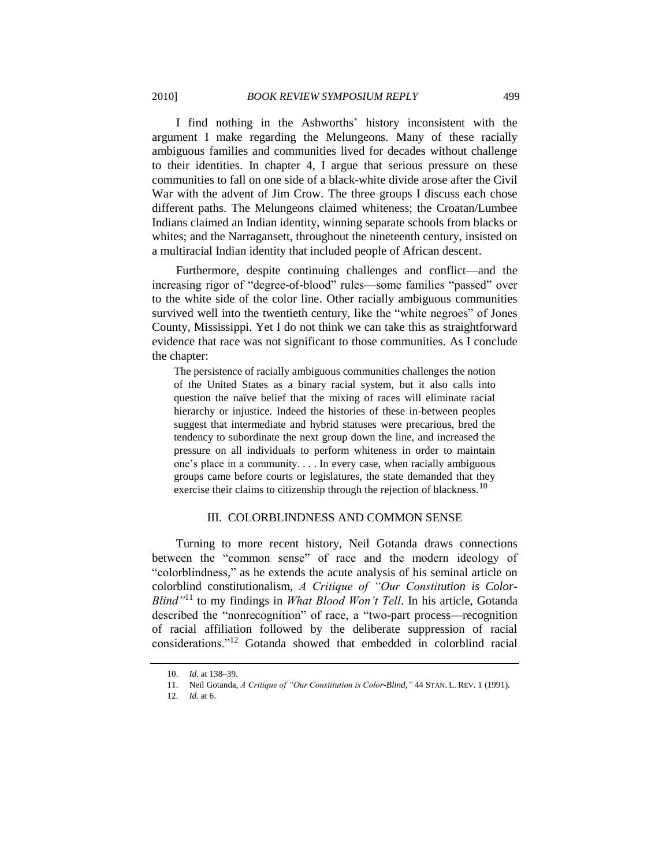I find nothing in the Ashworths' history inconsistent with the argument I make regarding the Melungeons. Many of these racially ambiguous families and communities lived for decades without challenge to their identities. In chapter 4, I argue that serious pressure on these communities to fall on one side of a black-white divide arose after the Civil War with the advent of Jim Crow. The three groups I discuss each chose different paths. The Melungeons claimed whiteness; the Croatan/Lumbee Indians claimed an Indian identity, winning separate schools from blacks or whites; and the Narragansett, throughout the nineteenth century, insisted on a multiracial Indian identity that included people of African descent.

Furthermore, despite continuing challenges and conflict—and the increasing rigor of "degree-of-blood" rules—some families "passed" over to the white side of the color line. Other racially ambiguous communities survived well into the twentieth century, like the "white negroes" of Jones County, Mississippi. Yet I do not think we can take this as straightforward evidence that race was not significant to those communities. As I conclude the chapter:

The persistence of racially ambiguous communities challenges the notion of the United States as a binary racial system, but it also calls into question the naïve belief that the mixing of races will eliminate racial hierarchy or injustice. Indeed the histories of these in-between peoples suggest that intermediate and hybrid statuses were precarious, bred the tendency to subordinate the next group down the line, and increased the pressure on all individuals to perform whiteness in order to maintain one's place in a community. . . . In every case, when racially ambiguous groups came before courts or legislatures, the state demanded that they exercise their claims to citizenship through the rejection of blackness.<sup>10</sup>

#### III. COLORBLINDNESS AND COMMON SENSE

Turning to more recent history, Neil Gotanda draws connections between the "common sense" of race and the modern ideology of ―colorblindness,‖ as he extends the acute analysis of his seminal article on colorblind constitutionalism, *A Critique of "Our Constitution is Color-Blind"*<sup>11</sup> to my findings in *What Blood Won't Tell*. In his article, Gotanda described the "nonrecognition" of race, a "two-part process—recognition of racial affiliation followed by the deliberate suppression of racial considerations."<sup>12</sup> Gotanda showed that embedded in colorblind racial

<sup>10.</sup> *Id.* at 138–39.

<sup>11.</sup> Neil Gotanda, *A Critique of "Our Constitution is Color-Blind*,*"* 44 STAN. L. REV. 1 (1991).

<sup>12.</sup> *Id.* at 6.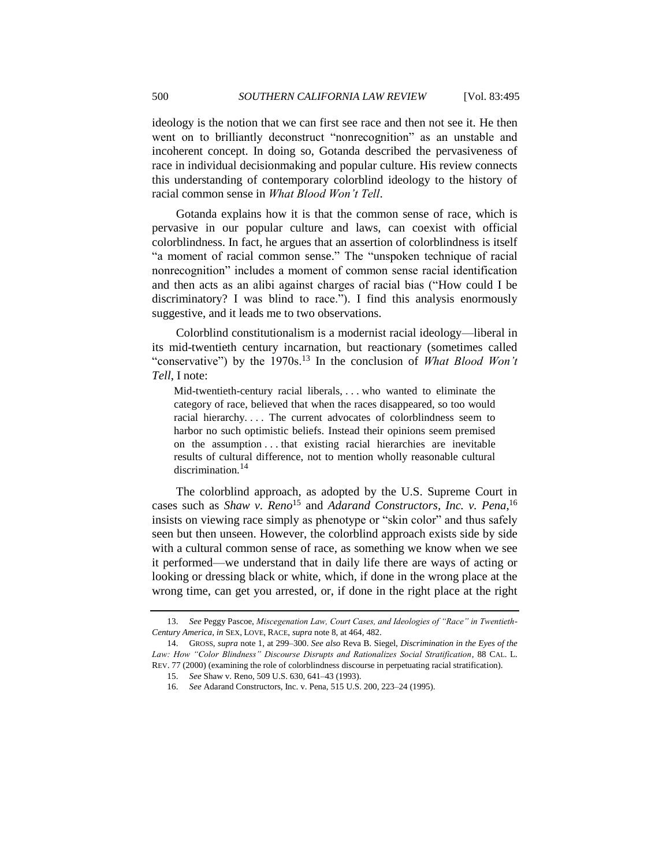ideology is the notion that we can first see race and then not see it. He then went on to brilliantly deconstruct "nonrecognition" as an unstable and incoherent concept. In doing so, Gotanda described the pervasiveness of race in individual decisionmaking and popular culture. His review connects this understanding of contemporary colorblind ideology to the history of racial common sense in *What Blood Won't Tell*.

Gotanda explains how it is that the common sense of race, which is pervasive in our popular culture and laws, can coexist with official colorblindness. In fact, he argues that an assertion of colorblindness is itself "a moment of racial common sense." The "unspoken technique of racial nonrecognition" includes a moment of common sense racial identification and then acts as an alibi against charges of racial bias ("How could I be discriminatory? I was blind to race."). I find this analysis enormously suggestive, and it leads me to two observations.

Colorblind constitutionalism is a modernist racial ideology—liberal in its mid-twentieth century incarnation, but reactionary (sometimes called "conservative") by the 1970s.<sup>13</sup> In the conclusion of *What Blood Won't Tell*, I note:

Mid-twentieth-century racial liberals, . . . who wanted to eliminate the category of race, believed that when the races disappeared, so too would racial hierarchy.... The current advocates of colorblindness seem to harbor no such optimistic beliefs. Instead their opinions seem premised on the assumption . . . that existing racial hierarchies are inevitable results of cultural difference, not to mention wholly reasonable cultural discrimination.<sup>14</sup>

The colorblind approach, as adopted by the U.S. Supreme Court in cases such as *Shaw v. Reno*<sup>15</sup> and *Adarand Constructors, Inc. v. Pena*, 16 insists on viewing race simply as phenotype or "skin color" and thus safely seen but then unseen. However, the colorblind approach exists side by side with a cultural common sense of race, as something we know when we see it performed—we understand that in daily life there are ways of acting or looking or dressing black or white, which, if done in the wrong place at the wrong time, can get you arrested, or, if done in the right place at the right

<sup>13.</sup> *See* Peggy Pascoe, *Miscegenation Law, Court Cases, and Ideologies of "Race" in Twentieth-Century America*, *in* SEX, LOVE, RACE, *supra* not[e 8,](#page-3-0) at 464, 482.

<sup>14.</sup> GROSS, *supra* note [1,](#page-0-0) at 299–300. *See also* Reva B. Siegel, *Discrimination in the Eyes of the*  Law: How "Color Blindness" Discourse Disrupts and Rationalizes Social Stratification, 88 CAL. L. REV. 77 (2000) (examining the role of colorblindness discourse in perpetuating racial stratification).

<sup>15.</sup> *See* Shaw v. Reno, 509 U.S. 630, 641–43 (1993).

<sup>16.</sup> *See* Adarand Constructors, Inc. v. Pena, 515 U.S. 200, 223–24 (1995).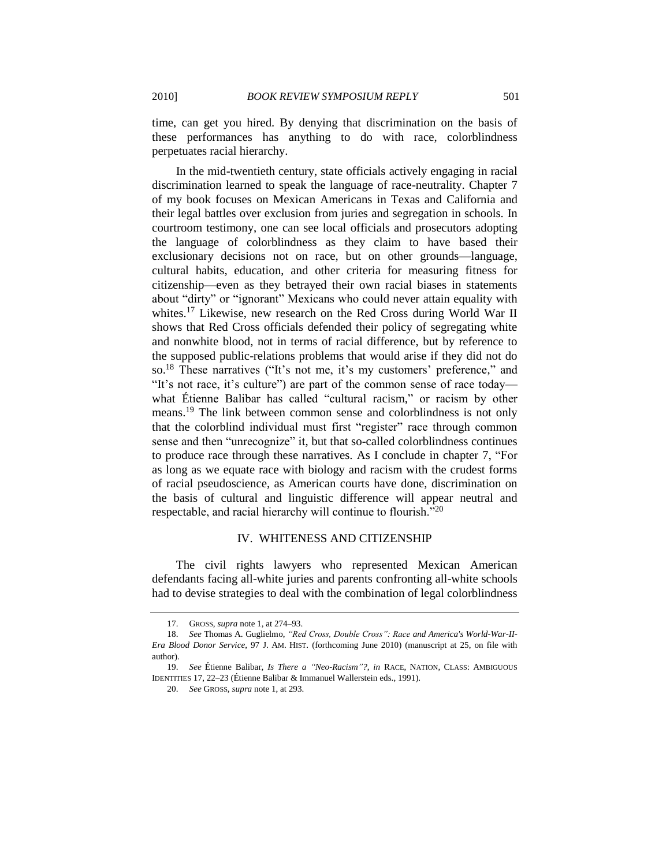time, can get you hired. By denying that discrimination on the basis of these performances has anything to do with race, colorblindness

In the mid-twentieth century, state officials actively engaging in racial discrimination learned to speak the language of race-neutrality. Chapter 7 of my book focuses on Mexican Americans in Texas and California and their legal battles over exclusion from juries and segregation in schools. In courtroom testimony, one can see local officials and prosecutors adopting the language of colorblindness as they claim to have based their exclusionary decisions not on race, but on other grounds—language, cultural habits, education, and other criteria for measuring fitness for citizenship—even as they betrayed their own racial biases in statements about "dirty" or "ignorant" Mexicans who could never attain equality with whites.<sup>17</sup> Likewise, new research on the Red Cross during World War II shows that Red Cross officials defended their policy of segregating white and nonwhite blood, not in terms of racial difference, but by reference to the supposed public-relations problems that would arise if they did not do so.<sup>18</sup> These narratives ("It's not me, it's my customers' preference," and "It's not race, it's culture") are part of the common sense of race today what Étienne Balibar has called "cultural racism," or racism by other means.<sup>19</sup> The link between common sense and colorblindness is not only that the colorblind individual must first "register" race through common sense and then "unrecognize" it, but that so-called colorblindness continues to produce race through these narratives. As I conclude in chapter 7, "For as long as we equate race with biology and racism with the crudest forms of racial pseudoscience, as American courts have done, discrimination on the basis of cultural and linguistic difference will appear neutral and respectable, and racial hierarchy will continue to flourish. $120$ 

#### IV. WHITENESS AND CITIZENSHIP

The civil rights lawyers who represented Mexican American defendants facing all-white juries and parents confronting all-white schools had to devise strategies to deal with the combination of legal colorblindness

20. *See* GROSS, *supra* not[e 1,](#page-0-0) at 293.

perpetuates racial hierarchy.

<sup>17.</sup> GROSS, *supra* not[e 1,](#page-0-0) at 274–93.

<sup>18.</sup> *See* Thomas A. Guglielmo, *"Red Cross, Double Cross": Race and America's World-War-II-Era Blood Donor Service*, 97 J. AM. HIST. (forthcoming June 2010) (manuscript at 25, on file with author).

<sup>19.</sup> *See* Étienne Balibar, *Is There a "Neo-Racism"?*, *in* RACE, NATION, CLASS: AMBIGUOUS IDENTITIES 17, 22–23 (Étienne Balibar & Immanuel Wallerstein eds., 1991).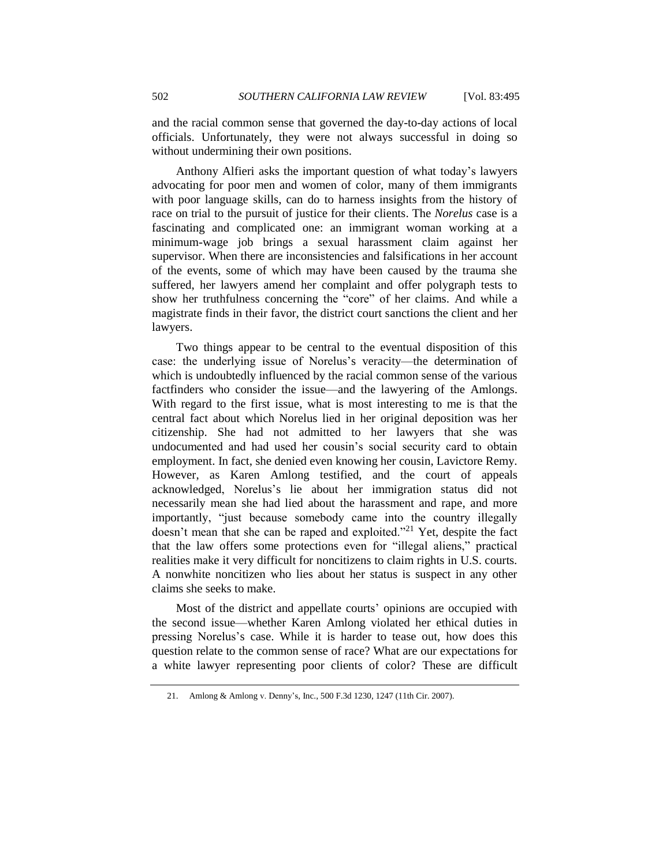and the racial common sense that governed the day-to-day actions of local officials. Unfortunately, they were not always successful in doing so without undermining their own positions.

Anthony Alfieri asks the important question of what today's lawyers advocating for poor men and women of color, many of them immigrants with poor language skills, can do to harness insights from the history of race on trial to the pursuit of justice for their clients. The *Norelus* case is a fascinating and complicated one: an immigrant woman working at a minimum-wage job brings a sexual harassment claim against her supervisor. When there are inconsistencies and falsifications in her account of the events, some of which may have been caused by the trauma she suffered, her lawyers amend her complaint and offer polygraph tests to show her truthfulness concerning the "core" of her claims. And while a magistrate finds in their favor, the district court sanctions the client and her lawyers.

Two things appear to be central to the eventual disposition of this case: the underlying issue of Norelus's veracity—the determination of which is undoubtedly influenced by the racial common sense of the various factfinders who consider the issue—and the lawyering of the Amlongs. With regard to the first issue, what is most interesting to me is that the central fact about which Norelus lied in her original deposition was her citizenship. She had not admitted to her lawyers that she was undocumented and had used her cousin's social security card to obtain employment. In fact, she denied even knowing her cousin, Lavictore Remy. However, as Karen Amlong testified, and the court of appeals acknowledged, Norelus's lie about her immigration status did not necessarily mean she had lied about the harassment and rape, and more importantly, "just because somebody came into the country illegally doesn't mean that she can be raped and exploited.<sup>221</sup> Yet, despite the fact that the law offers some protections even for "illegal aliens," practical realities make it very difficult for noncitizens to claim rights in U.S. courts. A nonwhite noncitizen who lies about her status is suspect in any other claims she seeks to make.

Most of the district and appellate courts' opinions are occupied with the second issue—whether Karen Amlong violated her ethical duties in pressing Norelus's case. While it is harder to tease out, how does this question relate to the common sense of race? What are our expectations for a white lawyer representing poor clients of color? These are difficult

<sup>21.</sup> Amlong & Amlong v. Denny's, Inc., 500 F.3d 1230, 1247 (11th Cir. 2007).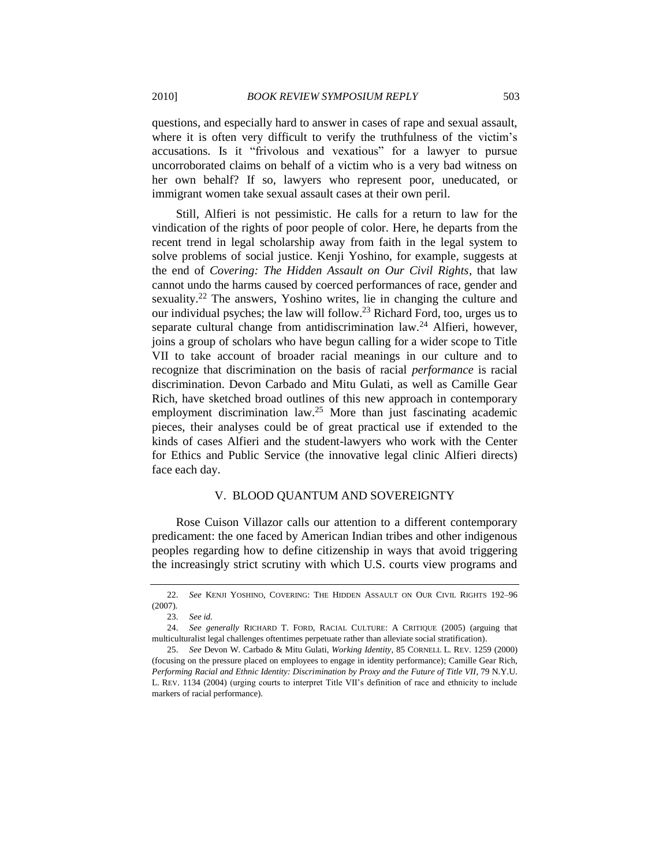questions, and especially hard to answer in cases of rape and sexual assault, where it is often very difficult to verify the truthfulness of the victim's accusations. Is it "frivolous and vexatious" for a lawyer to pursue uncorroborated claims on behalf of a victim who is a very bad witness on her own behalf? If so, lawyers who represent poor, uneducated, or immigrant women take sexual assault cases at their own peril.

Still, Alfieri is not pessimistic. He calls for a return to law for the vindication of the rights of poor people of color. Here, he departs from the recent trend in legal scholarship away from faith in the legal system to solve problems of social justice. Kenji Yoshino, for example, suggests at the end of *Covering: The Hidden Assault on Our Civil Rights*, that law cannot undo the harms caused by coerced performances of race, gender and sexuality.<sup>22</sup> The answers, Yoshino writes, lie in changing the culture and our individual psyches; the law will follow.<sup>23</sup> Richard Ford, too, urges us to separate cultural change from antidiscrimination law.<sup>24</sup> Alfieri, however, joins a group of scholars who have begun calling for a wider scope to Title VII to take account of broader racial meanings in our culture and to recognize that discrimination on the basis of racial *performance* is racial discrimination. Devon Carbado and Mitu Gulati, as well as Camille Gear Rich, have sketched broad outlines of this new approach in contemporary employment discrimination law.<sup>25</sup> More than just fascinating academic pieces, their analyses could be of great practical use if extended to the kinds of cases Alfieri and the student-lawyers who work with the Center for Ethics and Public Service (the innovative legal clinic Alfieri directs) face each day.

## V. BLOOD QUANTUM AND SOVEREIGNTY

Rose Cuison Villazor calls our attention to a different contemporary predicament: the one faced by American Indian tribes and other indigenous peoples regarding how to define citizenship in ways that avoid triggering the increasingly strict scrutiny with which U.S. courts view programs and

<sup>22.</sup> *See* KENJI YOSHINO, COVERING: THE HIDDEN ASSAULT ON OUR CIVIL RIGHTS 192–96 (2007).

<sup>23.</sup> *See id.*

<sup>24.</sup> *See generally* RICHARD T. FORD, RACIAL CULTURE: A CRITIQUE (2005) (arguing that multiculturalist legal challenges oftentimes perpetuate rather than alleviate social stratification).

<sup>25.</sup> *See* Devon W. Carbado & Mitu Gulati, *Working Identity*, 85 CORNELL L. REV. 1259 (2000) (focusing on the pressure placed on employees to engage in identity performance); Camille Gear Rich, *Performing Racial and Ethnic Identity: Discrimination by Proxy and the Future of Title VII*, 79 N.Y.U. L. REV. 1134 (2004) (urging courts to interpret Title VII's definition of race and ethnicity to include markers of racial performance).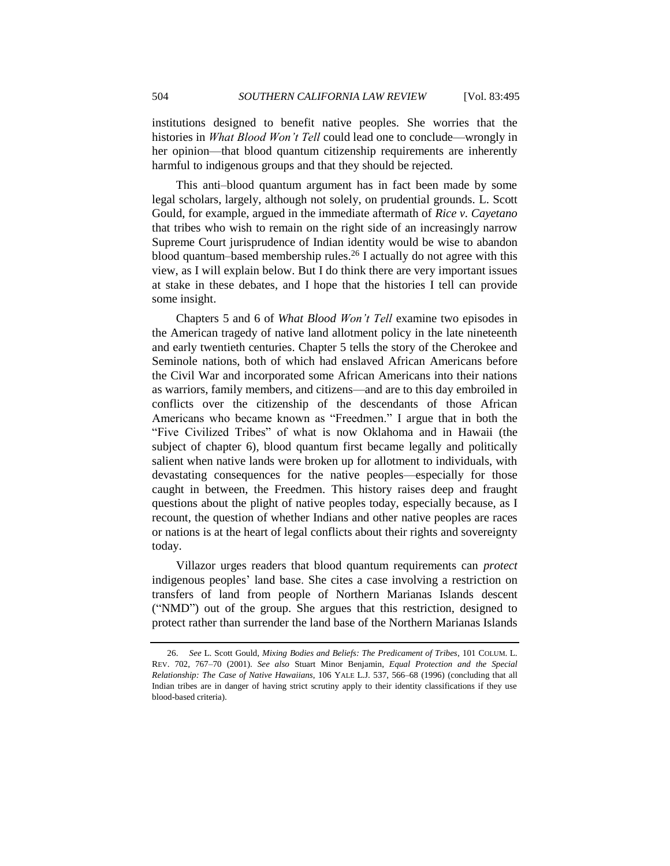institutions designed to benefit native peoples. She worries that the histories in *What Blood Won't Tell* could lead one to conclude—wrongly in her opinion—that blood quantum citizenship requirements are inherently harmful to indigenous groups and that they should be rejected.

This anti–blood quantum argument has in fact been made by some legal scholars, largely, although not solely, on prudential grounds. L. Scott Gould, for example, argued in the immediate aftermath of *Rice v. Cayetano* that tribes who wish to remain on the right side of an increasingly narrow Supreme Court jurisprudence of Indian identity would be wise to abandon blood quantum–based membership rules.<sup>26</sup> I actually do not agree with this view, as I will explain below. But I do think there are very important issues at stake in these debates, and I hope that the histories I tell can provide some insight.

Chapters 5 and 6 of *What Blood Won't Tell* examine two episodes in the American tragedy of native land allotment policy in the late nineteenth and early twentieth centuries. Chapter 5 tells the story of the Cherokee and Seminole nations, both of which had enslaved African Americans before the Civil War and incorporated some African Americans into their nations as warriors, family members, and citizens—and are to this day embroiled in conflicts over the citizenship of the descendants of those African Americans who became known as "Freedmen." I argue that in both the "Five Civilized Tribes" of what is now Oklahoma and in Hawaii (the subject of chapter 6), blood quantum first became legally and politically salient when native lands were broken up for allotment to individuals, with devastating consequences for the native peoples—especially for those caught in between, the Freedmen. This history raises deep and fraught questions about the plight of native peoples today, especially because, as I recount, the question of whether Indians and other native peoples are races or nations is at the heart of legal conflicts about their rights and sovereignty today.

Villazor urges readers that blood quantum requirements can *protect* indigenous peoples' land base. She cites a case involving a restriction on transfers of land from people of Northern Marianas Islands descent (―NMD‖) out of the group. She argues that this restriction, designed to protect rather than surrender the land base of the Northern Marianas Islands

<sup>26.</sup> *See* L. Scott Gould, *Mixing Bodies and Beliefs: The Predicament of Tribes*, 101 COLUM. L. REV. 702, 767–70 (2001). *See also* Stuart Minor Benjamin, *Equal Protection and the Special Relationship: The Case of Native Hawaiians*, 106 YALE L.J. 537, 566–68 (1996) (concluding that all Indian tribes are in danger of having strict scrutiny apply to their identity classifications if they use blood-based criteria).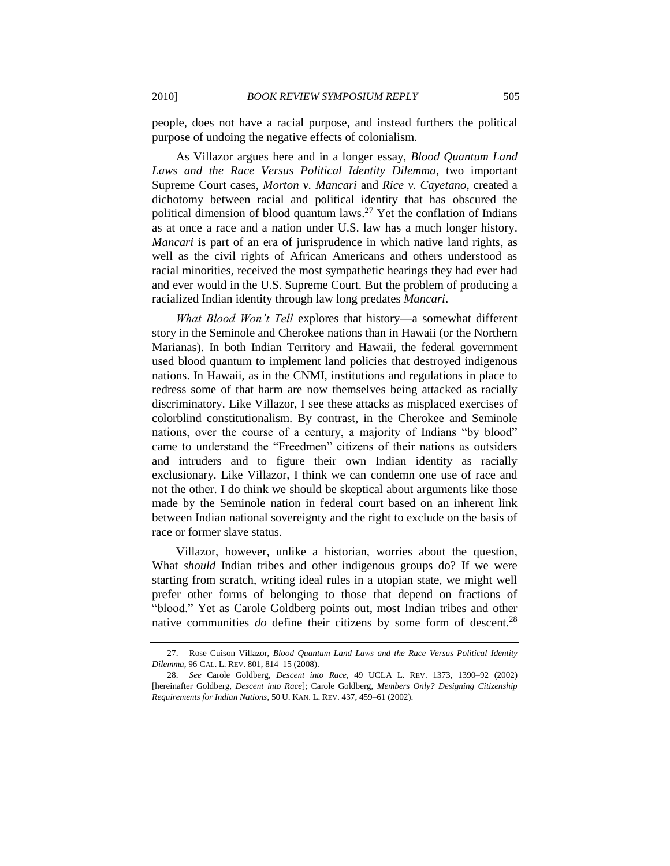people, does not have a racial purpose, and instead furthers the political purpose of undoing the negative effects of colonialism.

As Villazor argues here and in a longer essay, *Blood Quantum Land Laws and the Race Versus Political Identity Dilemma*, two important Supreme Court cases, *Morton v. Mancari* and *Rice v. Cayetano*, created a dichotomy between racial and political identity that has obscured the political dimension of blood quantum laws.<sup>27</sup> Yet the conflation of Indians as at once a race and a nation under U.S. law has a much longer history. *Mancari* is part of an era of jurisprudence in which native land rights, as well as the civil rights of African Americans and others understood as racial minorities, received the most sympathetic hearings they had ever had and ever would in the U.S. Supreme Court. But the problem of producing a racialized Indian identity through law long predates *Mancari*.

*What Blood Won't Tell* explores that history—a somewhat different story in the Seminole and Cherokee nations than in Hawaii (or the Northern Marianas). In both Indian Territory and Hawaii, the federal government used blood quantum to implement land policies that destroyed indigenous nations. In Hawaii, as in the CNMI, institutions and regulations in place to redress some of that harm are now themselves being attacked as racially discriminatory. Like Villazor, I see these attacks as misplaced exercises of colorblind constitutionalism. By contrast, in the Cherokee and Seminole nations, over the course of a century, a majority of Indians "by blood" came to understand the "Freedmen" citizens of their nations as outsiders and intruders and to figure their own Indian identity as racially exclusionary. Like Villazor, I think we can condemn one use of race and not the other. I do think we should be skeptical about arguments like those made by the Seminole nation in federal court based on an inherent link between Indian national sovereignty and the right to exclude on the basis of race or former slave status.

Villazor, however, unlike a historian, worries about the question, What *should* Indian tribes and other indigenous groups do? If we were starting from scratch, writing ideal rules in a utopian state, we might well prefer other forms of belonging to those that depend on fractions of "blood." Yet as Carole Goldberg points out, most Indian tribes and other native communities *do* define their citizens by some form of descent.<sup>28</sup>

<sup>27.</sup> Rose Cuison Villazor, *Blood Quantum Land Laws and the Race Versus Political Identity Dilemma*, 96 CAL. L. REV. 801, 814–15 (2008).

<sup>28.</sup> *See* Carole Goldberg, *Descent into Race*, 49 UCLA L. REV. 1373, 1390–92 (2002) [hereinafter Goldberg, *Descent into Race*]; Carole Goldberg, *Members Only? Designing Citizenship Requirements for Indian Nations*, 50 U. KAN. L. REV. 437, 459–61 (2002).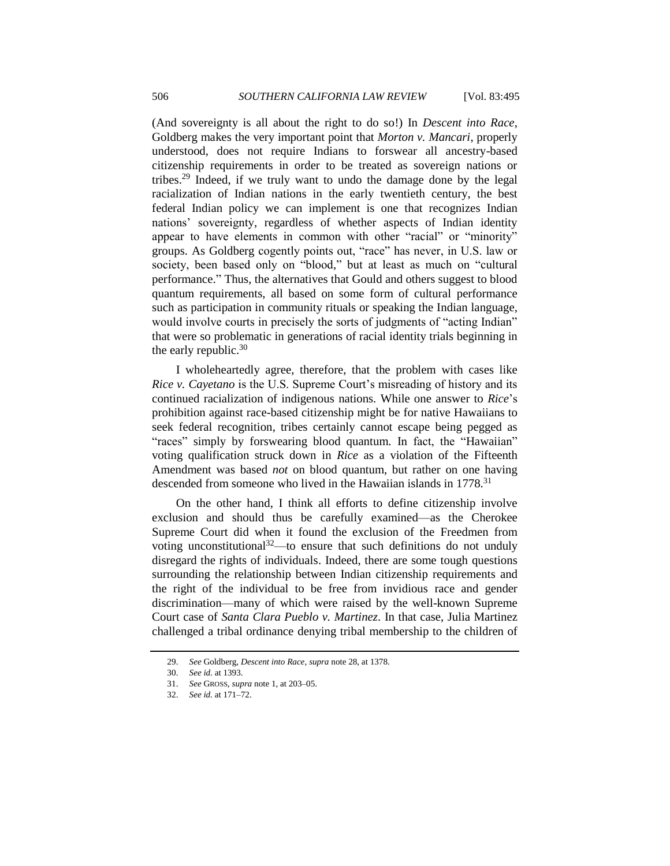(And sovereignty is all about the right to do so!) In *Descent into Race*, Goldberg makes the very important point that *Morton v. Mancari*, properly understood, does not require Indians to forswear all ancestry-based citizenship requirements in order to be treated as sovereign nations or tribes.<sup>29</sup> Indeed, if we truly want to undo the damage done by the legal racialization of Indian nations in the early twentieth century, the best federal Indian policy we can implement is one that recognizes Indian nations' sovereignty, regardless of whether aspects of Indian identity appear to have elements in common with other "racial" or "minority" groups. As Goldberg cogently points out, "race" has never, in U.S. law or society, been based only on "blood," but at least as much on "cultural performance.‖ Thus, the alternatives that Gould and others suggest to blood quantum requirements, all based on some form of cultural performance such as participation in community rituals or speaking the Indian language, would involve courts in precisely the sorts of judgments of "acting Indian" that were so problematic in generations of racial identity trials beginning in the early republic. $30$ 

I wholeheartedly agree, therefore, that the problem with cases like *Rice v. Cayetano* is the U.S. Supreme Court's misreading of history and its continued racialization of indigenous nations. While one answer to *Rice*'s prohibition against race-based citizenship might be for native Hawaiians to seek federal recognition, tribes certainly cannot escape being pegged as "races" simply by forswearing blood quantum. In fact, the "Hawaiian" voting qualification struck down in *Rice* as a violation of the Fifteenth Amendment was based *not* on blood quantum, but rather on one having descended from someone who lived in the Hawaiian islands in 1778.<sup>31</sup>

On the other hand, I think all efforts to define citizenship involve exclusion and should thus be carefully examined—as the Cherokee Supreme Court did when it found the exclusion of the Freedmen from voting unconstitutional<sup>32</sup>—to ensure that such definitions do not unduly disregard the rights of individuals. Indeed, there are some tough questions surrounding the relationship between Indian citizenship requirements and the right of the individual to be free from invidious race and gender discrimination—many of which were raised by the well-known Supreme Court case of *Santa Clara Pueblo v. Martinez*. In that case, Julia Martinez challenged a tribal ordinance denying tribal membership to the children of

<sup>29.</sup> *See* Goldberg, *Descent into Race*, *supra* note 28, at 1378.

<sup>30.</sup> *See id.* at 1393.

<sup>31.</sup> *See* GROSS, *supra* not[e 1,](#page-0-0) at 203–05.

<sup>32.</sup> *See id.* at 171–72.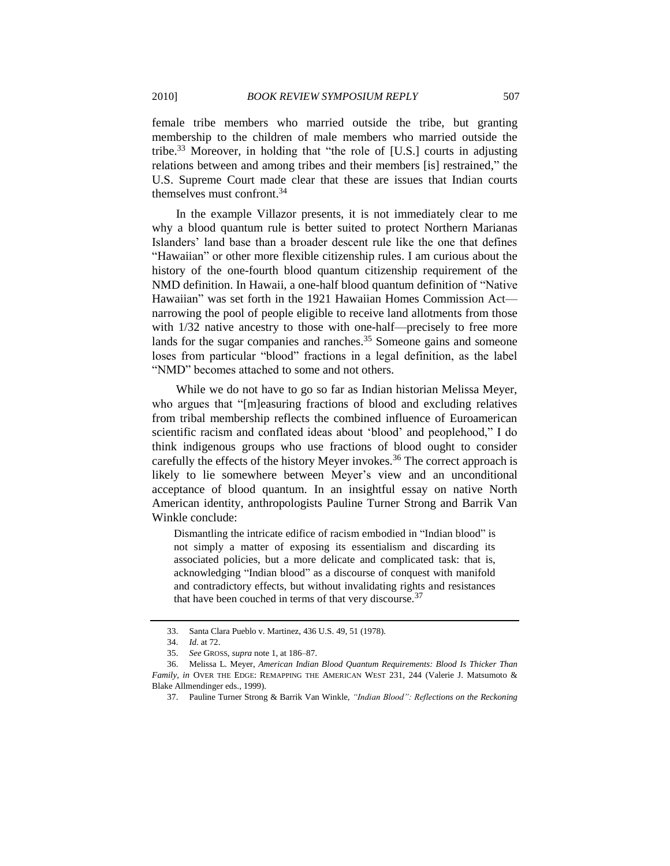female tribe members who married outside the tribe, but granting membership to the children of male members who married outside the tribe.<sup>33</sup> Moreover, in holding that "the role of [U.S.] courts in adjusting relations between and among tribes and their members [is] restrained," the U.S. Supreme Court made clear that these are issues that Indian courts themselves must confront.<sup>34</sup>

In the example Villazor presents, it is not immediately clear to me why a blood quantum rule is better suited to protect Northern Marianas Islanders' land base than a broader descent rule like the one that defines "Hawaiian" or other more flexible citizenship rules. I am curious about the history of the one-fourth blood quantum citizenship requirement of the NMD definition. In Hawaii, a one-half blood quantum definition of "Native" Hawaiian" was set forth in the 1921 Hawaiian Homes Commission Actnarrowing the pool of people eligible to receive land allotments from those with  $1/32$  native ancestry to those with one-half—precisely to free more lands for the sugar companies and ranches.<sup>35</sup> Someone gains and someone loses from particular "blood" fractions in a legal definition, as the label "NMD" becomes attached to some and not others.

While we do not have to go so far as Indian historian Melissa Meyer, who argues that "[m]easuring fractions of blood and excluding relatives from tribal membership reflects the combined influence of Euroamerican scientific racism and conflated ideas about 'blood' and peoplehood," I do think indigenous groups who use fractions of blood ought to consider carefully the effects of the history Meyer invokes.<sup>36</sup> The correct approach is likely to lie somewhere between Meyer's view and an unconditional acceptance of blood quantum. In an insightful essay on native North American identity, anthropologists Pauline Turner Strong and Barrik Van Winkle conclude:

Dismantling the intricate edifice of racism embodied in "Indian blood" is not simply a matter of exposing its essentialism and discarding its associated policies, but a more delicate and complicated task: that is, acknowledging "Indian blood" as a discourse of conquest with manifold and contradictory effects, but without invalidating rights and resistances that have been couched in terms of that very discourse.<sup>37</sup>

<sup>33.</sup> Santa Clara Pueblo v. Martinez, 436 U.S. 49, 51 (1978).

<sup>34.</sup> *Id.* at 72.

<sup>35.</sup> *See* GROSS, *supra* not[e 1,](#page-0-0) at 186–87.

<sup>36.</sup> Melissa L. Meyer, *American Indian Blood Quantum Requirements: Blood Is Thicker Than Family*, *in* OVER THE EDGE: REMAPPING THE AMERICAN WEST 231, 244 (Valerie J. Matsumoto & Blake Allmendinger eds., 1999).

<sup>37.</sup> Pauline Turner Strong & Barrik Van Winkle, *"Indian Blood": Reflections on the Reckoning*